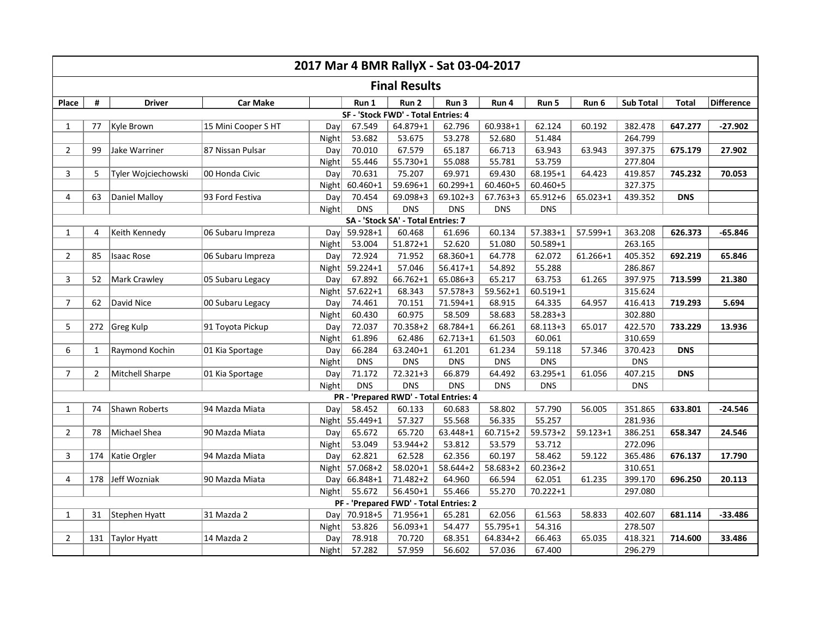| <b>Final Results</b><br>Difference<br>Run 1<br><b>Sub Total</b><br>Place<br>#<br><b>Driver</b><br><b>Car Make</b><br>Run 2<br>Run 3<br>Run 4<br>Run 5<br>Run 6<br><b>Total</b><br>SF - 'Stock FWD' - Total Entries: 4<br>Kyle Brown<br>15 Mini Cooper S HT<br>67.549<br>$60.938 + 1$<br>62.124<br>382.478<br>77<br>Day<br>64.879+1<br>62.796<br>60.192<br>647.277<br>$-27.902$<br>$\mathbf{1}$<br>Night<br>53.682<br>53.675<br>52.680<br>51.484<br>264.799<br>53.278<br>Jake Warriner<br>87 Nissan Pulsar<br>$2^{\circ}$<br>99<br>Day<br>70.010<br>67.579<br>65.187<br>66.713<br>63.943<br>63.943<br>397.375<br>675.179<br>27.902<br>$55.730 + 1$<br>55.088<br>55.781<br>53.759<br>Night<br>55.446<br>277.804<br>70.631<br>75.207<br>3<br>5<br>Tyler Wojciechowski<br>00 Honda Civic<br>69.971<br>69.430<br>$68.195 + 1$<br>64.423<br>419.857<br>745.232<br>70.053<br>Day<br>$60.460 + 1$<br>59.696+1<br>$60.299 + 1$<br>60.460+5<br>60.460+5<br>327.375<br>Night<br>Daniel Malloy<br>93 Ford Festiva<br>$65.023 + 1$<br>4<br>63<br>Day<br>70.454<br>$69.098 + 3$<br>$69.102 + 3$<br>67.763+3<br>65.912+6<br>439.352<br><b>DNS</b><br><b>DNS</b><br>Night<br><b>DNS</b><br><b>DNS</b><br><b>DNS</b><br><b>DNS</b><br>SA - 'Stock SA' - Total Entries: 7<br>Keith Kennedy<br>Day<br>59.928+1<br>60.468<br>60.134<br>$57.383 + 1$<br>57.599+1<br>363.208<br>06 Subaru Impreza<br>61.696<br>626.373<br>$-65.846$<br>$\mathbf{1}$<br>4<br>$51.872 + 1$<br>51.080<br>263.165<br>Night<br>53.004<br>52.620<br>$50.589 + 1$<br>72.924<br>71.952<br>61.266+1<br>$\overline{2}$<br>85<br><b>Isaac Rose</b><br>Day<br>68.360+1<br>64.778<br>62.072<br>405.352<br>692.219<br>65.846<br>06 Subaru Impreza<br>Night 59.224+1<br>57.046<br>$56.417 + 1$<br>54.892<br>286.867<br>55.288<br>$66.762 + 1$<br>3<br>Mark Crawley<br>05 Subaru Legacy<br>67.892<br>65.086+3<br>65.217<br>63.753<br>61.265<br>397.975<br>713.599<br>21.380<br>52<br>Day<br>$57.622 + 1$<br>$57.578 + 3$<br>$59.562 + 1$<br>$60.519 + 1$<br>Night<br>68.343<br>315.624<br>David Nice<br>$\overline{7}$<br>62<br>00 Subaru Legacy<br>74.461<br>70.151<br>71.594+1<br>68.915<br>64.335<br>64.957<br>416.413<br>719.293<br>5.694<br>Day<br>60.975<br>60.430<br>58.509<br>58.683<br>$58.283 + 3$<br>302.880<br>Night<br>68.784+1<br>5<br>272 Greg Kulp<br>72.037<br>$70.358 + 2$<br>66.261<br>$68.113 + 3$<br>65.017<br>422.570<br>733.229<br>13.936<br>91 Toyota Pickup<br>Day<br>61.896<br>62.486<br>$62.713 + 1$<br>61.503<br>60.061<br>310.659<br>Night<br>6<br>Raymond Kochin<br>66.284<br>63.240+1<br>61.234<br>57.346<br>01 Kia Sportage<br>Day<br>61.201<br>59.118<br>370.423<br><b>DNS</b><br>1<br><b>DNS</b><br>Night<br><b>DNS</b><br><b>DNS</b><br><b>DNS</b><br><b>DNS</b><br><b>DNS</b><br><b>Mitchell Sharpe</b><br>71.172<br>72.321+3<br>66.879<br>64.492<br>$63.295 + 1$<br>61.056<br>407.215<br><b>DNS</b><br>7 <sup>7</sup><br>2<br>01 Kia Sportage<br>Day<br><b>DNS</b><br>Night<br><b>DNS</b><br><b>DNS</b><br><b>DNS</b><br><b>DNS</b><br><b>DNS</b><br>PR - 'Prepared RWD' - Total Entries: 4<br>Shawn Roberts<br>60.133<br>58.802<br>57.790<br>351.865<br>633.801<br>74<br>94 Mazda Miata<br>Day<br>58.452<br>56.005<br>$-24.546$<br>$\mathbf{1}$<br>60.683<br>56.335<br>$55.449 + 1$<br>57.327<br>55.568<br>55.257<br>281.936<br>Night<br>$59.573 + 2$<br>$\overline{2}$<br>Michael Shea<br>90 Mazda Miata<br>Day<br>65.672<br>65.720<br>63.448+1<br>$60.715 + 2$<br>$59.123 + 1$<br>386.251<br>658.347<br>24.546<br>78<br>$53.944 + 2$<br>53.812<br><b>Night</b><br>53.049<br>53.579<br>53.712<br>272.096<br>62.821<br>62.528<br>3<br>174<br>Katie Orgler<br>94 Mazda Miata<br>62.356<br>60.197<br>58.462<br>59.122<br>365.486<br>676.137<br>17.790<br>Day<br>57.068+2<br>$58.020 + 1$<br>$58.644 + 2$<br>58.683+2<br>$60.236 + 2$<br>310.651<br>Night<br>Jeff Wozniak<br>178<br>90 Mazda Miata<br>71.482+2<br>62.051<br>61.235<br>399.170<br>696.250<br>4<br>Day<br>66.848+1<br>64.960<br>66.594<br>20.113 | 2017 Mar 4 BMR RallyX - Sat 03-04-2017 |  |  |  |  |        |              |        |  |          |  |  |  |
|---------------------------------------------------------------------------------------------------------------------------------------------------------------------------------------------------------------------------------------------------------------------------------------------------------------------------------------------------------------------------------------------------------------------------------------------------------------------------------------------------------------------------------------------------------------------------------------------------------------------------------------------------------------------------------------------------------------------------------------------------------------------------------------------------------------------------------------------------------------------------------------------------------------------------------------------------------------------------------------------------------------------------------------------------------------------------------------------------------------------------------------------------------------------------------------------------------------------------------------------------------------------------------------------------------------------------------------------------------------------------------------------------------------------------------------------------------------------------------------------------------------------------------------------------------------------------------------------------------------------------------------------------------------------------------------------------------------------------------------------------------------------------------------------------------------------------------------------------------------------------------------------------------------------------------------------------------------------------------------------------------------------------------------------------------------------------------------------------------------------------------------------------------------------------------------------------------------------------------------------------------------------------------------------------------------------------------------------------------------------------------------------------------------------------------------------------------------------------------------------------------------------------------------------------------------------------------------------------------------------------------------------------------------------------------------------------------------------------------------------------------------------------------------------------------------------------------------------------------------------------------------------------------------------------------------------------------------------------------------------------------------------------------------------------------------------------------------------------------------------------------------------------------------------------------------------------------------------------------------------------------------------------------------------------------------------------------------------------------------------------------------------------------------------------------------------------------------------------------------------------------------------------------------------------------------------------------------------------------------------------------------------------------------------------------------------------------------------------------------------------------------------------------------------------------------------------------------------------------------------------------------------------------------------------------------------------------------------------------------------|----------------------------------------|--|--|--|--|--------|--------------|--------|--|----------|--|--|--|
|                                                                                                                                                                                                                                                                                                                                                                                                                                                                                                                                                                                                                                                                                                                                                                                                                                                                                                                                                                                                                                                                                                                                                                                                                                                                                                                                                                                                                                                                                                                                                                                                                                                                                                                                                                                                                                                                                                                                                                                                                                                                                                                                                                                                                                                                                                                                                                                                                                                                                                                                                                                                                                                                                                                                                                                                                                                                                                                                                                                                                                                                                                                                                                                                                                                                                                                                                                                                                                                                                                                                                                                                                                                                                                                                                                                                                                                                                                                                                                                             |                                        |  |  |  |  |        |              |        |  |          |  |  |  |
|                                                                                                                                                                                                                                                                                                                                                                                                                                                                                                                                                                                                                                                                                                                                                                                                                                                                                                                                                                                                                                                                                                                                                                                                                                                                                                                                                                                                                                                                                                                                                                                                                                                                                                                                                                                                                                                                                                                                                                                                                                                                                                                                                                                                                                                                                                                                                                                                                                                                                                                                                                                                                                                                                                                                                                                                                                                                                                                                                                                                                                                                                                                                                                                                                                                                                                                                                                                                                                                                                                                                                                                                                                                                                                                                                                                                                                                                                                                                                                                             |                                        |  |  |  |  |        |              |        |  |          |  |  |  |
|                                                                                                                                                                                                                                                                                                                                                                                                                                                                                                                                                                                                                                                                                                                                                                                                                                                                                                                                                                                                                                                                                                                                                                                                                                                                                                                                                                                                                                                                                                                                                                                                                                                                                                                                                                                                                                                                                                                                                                                                                                                                                                                                                                                                                                                                                                                                                                                                                                                                                                                                                                                                                                                                                                                                                                                                                                                                                                                                                                                                                                                                                                                                                                                                                                                                                                                                                                                                                                                                                                                                                                                                                                                                                                                                                                                                                                                                                                                                                                                             |                                        |  |  |  |  |        |              |        |  |          |  |  |  |
|                                                                                                                                                                                                                                                                                                                                                                                                                                                                                                                                                                                                                                                                                                                                                                                                                                                                                                                                                                                                                                                                                                                                                                                                                                                                                                                                                                                                                                                                                                                                                                                                                                                                                                                                                                                                                                                                                                                                                                                                                                                                                                                                                                                                                                                                                                                                                                                                                                                                                                                                                                                                                                                                                                                                                                                                                                                                                                                                                                                                                                                                                                                                                                                                                                                                                                                                                                                                                                                                                                                                                                                                                                                                                                                                                                                                                                                                                                                                                                                             |                                        |  |  |  |  |        |              |        |  |          |  |  |  |
|                                                                                                                                                                                                                                                                                                                                                                                                                                                                                                                                                                                                                                                                                                                                                                                                                                                                                                                                                                                                                                                                                                                                                                                                                                                                                                                                                                                                                                                                                                                                                                                                                                                                                                                                                                                                                                                                                                                                                                                                                                                                                                                                                                                                                                                                                                                                                                                                                                                                                                                                                                                                                                                                                                                                                                                                                                                                                                                                                                                                                                                                                                                                                                                                                                                                                                                                                                                                                                                                                                                                                                                                                                                                                                                                                                                                                                                                                                                                                                                             |                                        |  |  |  |  |        |              |        |  |          |  |  |  |
|                                                                                                                                                                                                                                                                                                                                                                                                                                                                                                                                                                                                                                                                                                                                                                                                                                                                                                                                                                                                                                                                                                                                                                                                                                                                                                                                                                                                                                                                                                                                                                                                                                                                                                                                                                                                                                                                                                                                                                                                                                                                                                                                                                                                                                                                                                                                                                                                                                                                                                                                                                                                                                                                                                                                                                                                                                                                                                                                                                                                                                                                                                                                                                                                                                                                                                                                                                                                                                                                                                                                                                                                                                                                                                                                                                                                                                                                                                                                                                                             |                                        |  |  |  |  |        |              |        |  |          |  |  |  |
|                                                                                                                                                                                                                                                                                                                                                                                                                                                                                                                                                                                                                                                                                                                                                                                                                                                                                                                                                                                                                                                                                                                                                                                                                                                                                                                                                                                                                                                                                                                                                                                                                                                                                                                                                                                                                                                                                                                                                                                                                                                                                                                                                                                                                                                                                                                                                                                                                                                                                                                                                                                                                                                                                                                                                                                                                                                                                                                                                                                                                                                                                                                                                                                                                                                                                                                                                                                                                                                                                                                                                                                                                                                                                                                                                                                                                                                                                                                                                                                             |                                        |  |  |  |  |        |              |        |  |          |  |  |  |
|                                                                                                                                                                                                                                                                                                                                                                                                                                                                                                                                                                                                                                                                                                                                                                                                                                                                                                                                                                                                                                                                                                                                                                                                                                                                                                                                                                                                                                                                                                                                                                                                                                                                                                                                                                                                                                                                                                                                                                                                                                                                                                                                                                                                                                                                                                                                                                                                                                                                                                                                                                                                                                                                                                                                                                                                                                                                                                                                                                                                                                                                                                                                                                                                                                                                                                                                                                                                                                                                                                                                                                                                                                                                                                                                                                                                                                                                                                                                                                                             |                                        |  |  |  |  |        |              |        |  |          |  |  |  |
|                                                                                                                                                                                                                                                                                                                                                                                                                                                                                                                                                                                                                                                                                                                                                                                                                                                                                                                                                                                                                                                                                                                                                                                                                                                                                                                                                                                                                                                                                                                                                                                                                                                                                                                                                                                                                                                                                                                                                                                                                                                                                                                                                                                                                                                                                                                                                                                                                                                                                                                                                                                                                                                                                                                                                                                                                                                                                                                                                                                                                                                                                                                                                                                                                                                                                                                                                                                                                                                                                                                                                                                                                                                                                                                                                                                                                                                                                                                                                                                             |                                        |  |  |  |  |        |              |        |  |          |  |  |  |
|                                                                                                                                                                                                                                                                                                                                                                                                                                                                                                                                                                                                                                                                                                                                                                                                                                                                                                                                                                                                                                                                                                                                                                                                                                                                                                                                                                                                                                                                                                                                                                                                                                                                                                                                                                                                                                                                                                                                                                                                                                                                                                                                                                                                                                                                                                                                                                                                                                                                                                                                                                                                                                                                                                                                                                                                                                                                                                                                                                                                                                                                                                                                                                                                                                                                                                                                                                                                                                                                                                                                                                                                                                                                                                                                                                                                                                                                                                                                                                                             |                                        |  |  |  |  |        |              |        |  |          |  |  |  |
|                                                                                                                                                                                                                                                                                                                                                                                                                                                                                                                                                                                                                                                                                                                                                                                                                                                                                                                                                                                                                                                                                                                                                                                                                                                                                                                                                                                                                                                                                                                                                                                                                                                                                                                                                                                                                                                                                                                                                                                                                                                                                                                                                                                                                                                                                                                                                                                                                                                                                                                                                                                                                                                                                                                                                                                                                                                                                                                                                                                                                                                                                                                                                                                                                                                                                                                                                                                                                                                                                                                                                                                                                                                                                                                                                                                                                                                                                                                                                                                             |                                        |  |  |  |  |        |              |        |  |          |  |  |  |
|                                                                                                                                                                                                                                                                                                                                                                                                                                                                                                                                                                                                                                                                                                                                                                                                                                                                                                                                                                                                                                                                                                                                                                                                                                                                                                                                                                                                                                                                                                                                                                                                                                                                                                                                                                                                                                                                                                                                                                                                                                                                                                                                                                                                                                                                                                                                                                                                                                                                                                                                                                                                                                                                                                                                                                                                                                                                                                                                                                                                                                                                                                                                                                                                                                                                                                                                                                                                                                                                                                                                                                                                                                                                                                                                                                                                                                                                                                                                                                                             |                                        |  |  |  |  |        |              |        |  |          |  |  |  |
|                                                                                                                                                                                                                                                                                                                                                                                                                                                                                                                                                                                                                                                                                                                                                                                                                                                                                                                                                                                                                                                                                                                                                                                                                                                                                                                                                                                                                                                                                                                                                                                                                                                                                                                                                                                                                                                                                                                                                                                                                                                                                                                                                                                                                                                                                                                                                                                                                                                                                                                                                                                                                                                                                                                                                                                                                                                                                                                                                                                                                                                                                                                                                                                                                                                                                                                                                                                                                                                                                                                                                                                                                                                                                                                                                                                                                                                                                                                                                                                             |                                        |  |  |  |  |        |              |        |  |          |  |  |  |
|                                                                                                                                                                                                                                                                                                                                                                                                                                                                                                                                                                                                                                                                                                                                                                                                                                                                                                                                                                                                                                                                                                                                                                                                                                                                                                                                                                                                                                                                                                                                                                                                                                                                                                                                                                                                                                                                                                                                                                                                                                                                                                                                                                                                                                                                                                                                                                                                                                                                                                                                                                                                                                                                                                                                                                                                                                                                                                                                                                                                                                                                                                                                                                                                                                                                                                                                                                                                                                                                                                                                                                                                                                                                                                                                                                                                                                                                                                                                                                                             |                                        |  |  |  |  |        |              |        |  |          |  |  |  |
|                                                                                                                                                                                                                                                                                                                                                                                                                                                                                                                                                                                                                                                                                                                                                                                                                                                                                                                                                                                                                                                                                                                                                                                                                                                                                                                                                                                                                                                                                                                                                                                                                                                                                                                                                                                                                                                                                                                                                                                                                                                                                                                                                                                                                                                                                                                                                                                                                                                                                                                                                                                                                                                                                                                                                                                                                                                                                                                                                                                                                                                                                                                                                                                                                                                                                                                                                                                                                                                                                                                                                                                                                                                                                                                                                                                                                                                                                                                                                                                             |                                        |  |  |  |  |        |              |        |  |          |  |  |  |
|                                                                                                                                                                                                                                                                                                                                                                                                                                                                                                                                                                                                                                                                                                                                                                                                                                                                                                                                                                                                                                                                                                                                                                                                                                                                                                                                                                                                                                                                                                                                                                                                                                                                                                                                                                                                                                                                                                                                                                                                                                                                                                                                                                                                                                                                                                                                                                                                                                                                                                                                                                                                                                                                                                                                                                                                                                                                                                                                                                                                                                                                                                                                                                                                                                                                                                                                                                                                                                                                                                                                                                                                                                                                                                                                                                                                                                                                                                                                                                                             |                                        |  |  |  |  |        |              |        |  |          |  |  |  |
|                                                                                                                                                                                                                                                                                                                                                                                                                                                                                                                                                                                                                                                                                                                                                                                                                                                                                                                                                                                                                                                                                                                                                                                                                                                                                                                                                                                                                                                                                                                                                                                                                                                                                                                                                                                                                                                                                                                                                                                                                                                                                                                                                                                                                                                                                                                                                                                                                                                                                                                                                                                                                                                                                                                                                                                                                                                                                                                                                                                                                                                                                                                                                                                                                                                                                                                                                                                                                                                                                                                                                                                                                                                                                                                                                                                                                                                                                                                                                                                             |                                        |  |  |  |  |        |              |        |  |          |  |  |  |
|                                                                                                                                                                                                                                                                                                                                                                                                                                                                                                                                                                                                                                                                                                                                                                                                                                                                                                                                                                                                                                                                                                                                                                                                                                                                                                                                                                                                                                                                                                                                                                                                                                                                                                                                                                                                                                                                                                                                                                                                                                                                                                                                                                                                                                                                                                                                                                                                                                                                                                                                                                                                                                                                                                                                                                                                                                                                                                                                                                                                                                                                                                                                                                                                                                                                                                                                                                                                                                                                                                                                                                                                                                                                                                                                                                                                                                                                                                                                                                                             |                                        |  |  |  |  |        |              |        |  |          |  |  |  |
|                                                                                                                                                                                                                                                                                                                                                                                                                                                                                                                                                                                                                                                                                                                                                                                                                                                                                                                                                                                                                                                                                                                                                                                                                                                                                                                                                                                                                                                                                                                                                                                                                                                                                                                                                                                                                                                                                                                                                                                                                                                                                                                                                                                                                                                                                                                                                                                                                                                                                                                                                                                                                                                                                                                                                                                                                                                                                                                                                                                                                                                                                                                                                                                                                                                                                                                                                                                                                                                                                                                                                                                                                                                                                                                                                                                                                                                                                                                                                                                             |                                        |  |  |  |  |        |              |        |  |          |  |  |  |
|                                                                                                                                                                                                                                                                                                                                                                                                                                                                                                                                                                                                                                                                                                                                                                                                                                                                                                                                                                                                                                                                                                                                                                                                                                                                                                                                                                                                                                                                                                                                                                                                                                                                                                                                                                                                                                                                                                                                                                                                                                                                                                                                                                                                                                                                                                                                                                                                                                                                                                                                                                                                                                                                                                                                                                                                                                                                                                                                                                                                                                                                                                                                                                                                                                                                                                                                                                                                                                                                                                                                                                                                                                                                                                                                                                                                                                                                                                                                                                                             |                                        |  |  |  |  |        |              |        |  |          |  |  |  |
|                                                                                                                                                                                                                                                                                                                                                                                                                                                                                                                                                                                                                                                                                                                                                                                                                                                                                                                                                                                                                                                                                                                                                                                                                                                                                                                                                                                                                                                                                                                                                                                                                                                                                                                                                                                                                                                                                                                                                                                                                                                                                                                                                                                                                                                                                                                                                                                                                                                                                                                                                                                                                                                                                                                                                                                                                                                                                                                                                                                                                                                                                                                                                                                                                                                                                                                                                                                                                                                                                                                                                                                                                                                                                                                                                                                                                                                                                                                                                                                             |                                        |  |  |  |  |        |              |        |  |          |  |  |  |
|                                                                                                                                                                                                                                                                                                                                                                                                                                                                                                                                                                                                                                                                                                                                                                                                                                                                                                                                                                                                                                                                                                                                                                                                                                                                                                                                                                                                                                                                                                                                                                                                                                                                                                                                                                                                                                                                                                                                                                                                                                                                                                                                                                                                                                                                                                                                                                                                                                                                                                                                                                                                                                                                                                                                                                                                                                                                                                                                                                                                                                                                                                                                                                                                                                                                                                                                                                                                                                                                                                                                                                                                                                                                                                                                                                                                                                                                                                                                                                                             |                                        |  |  |  |  |        |              |        |  |          |  |  |  |
|                                                                                                                                                                                                                                                                                                                                                                                                                                                                                                                                                                                                                                                                                                                                                                                                                                                                                                                                                                                                                                                                                                                                                                                                                                                                                                                                                                                                                                                                                                                                                                                                                                                                                                                                                                                                                                                                                                                                                                                                                                                                                                                                                                                                                                                                                                                                                                                                                                                                                                                                                                                                                                                                                                                                                                                                                                                                                                                                                                                                                                                                                                                                                                                                                                                                                                                                                                                                                                                                                                                                                                                                                                                                                                                                                                                                                                                                                                                                                                                             |                                        |  |  |  |  |        |              |        |  |          |  |  |  |
|                                                                                                                                                                                                                                                                                                                                                                                                                                                                                                                                                                                                                                                                                                                                                                                                                                                                                                                                                                                                                                                                                                                                                                                                                                                                                                                                                                                                                                                                                                                                                                                                                                                                                                                                                                                                                                                                                                                                                                                                                                                                                                                                                                                                                                                                                                                                                                                                                                                                                                                                                                                                                                                                                                                                                                                                                                                                                                                                                                                                                                                                                                                                                                                                                                                                                                                                                                                                                                                                                                                                                                                                                                                                                                                                                                                                                                                                                                                                                                                             |                                        |  |  |  |  |        |              |        |  |          |  |  |  |
|                                                                                                                                                                                                                                                                                                                                                                                                                                                                                                                                                                                                                                                                                                                                                                                                                                                                                                                                                                                                                                                                                                                                                                                                                                                                                                                                                                                                                                                                                                                                                                                                                                                                                                                                                                                                                                                                                                                                                                                                                                                                                                                                                                                                                                                                                                                                                                                                                                                                                                                                                                                                                                                                                                                                                                                                                                                                                                                                                                                                                                                                                                                                                                                                                                                                                                                                                                                                                                                                                                                                                                                                                                                                                                                                                                                                                                                                                                                                                                                             |                                        |  |  |  |  |        |              |        |  |          |  |  |  |
|                                                                                                                                                                                                                                                                                                                                                                                                                                                                                                                                                                                                                                                                                                                                                                                                                                                                                                                                                                                                                                                                                                                                                                                                                                                                                                                                                                                                                                                                                                                                                                                                                                                                                                                                                                                                                                                                                                                                                                                                                                                                                                                                                                                                                                                                                                                                                                                                                                                                                                                                                                                                                                                                                                                                                                                                                                                                                                                                                                                                                                                                                                                                                                                                                                                                                                                                                                                                                                                                                                                                                                                                                                                                                                                                                                                                                                                                                                                                                                                             |                                        |  |  |  |  |        |              |        |  |          |  |  |  |
|                                                                                                                                                                                                                                                                                                                                                                                                                                                                                                                                                                                                                                                                                                                                                                                                                                                                                                                                                                                                                                                                                                                                                                                                                                                                                                                                                                                                                                                                                                                                                                                                                                                                                                                                                                                                                                                                                                                                                                                                                                                                                                                                                                                                                                                                                                                                                                                                                                                                                                                                                                                                                                                                                                                                                                                                                                                                                                                                                                                                                                                                                                                                                                                                                                                                                                                                                                                                                                                                                                                                                                                                                                                                                                                                                                                                                                                                                                                                                                                             |                                        |  |  |  |  |        |              |        |  |          |  |  |  |
|                                                                                                                                                                                                                                                                                                                                                                                                                                                                                                                                                                                                                                                                                                                                                                                                                                                                                                                                                                                                                                                                                                                                                                                                                                                                                                                                                                                                                                                                                                                                                                                                                                                                                                                                                                                                                                                                                                                                                                                                                                                                                                                                                                                                                                                                                                                                                                                                                                                                                                                                                                                                                                                                                                                                                                                                                                                                                                                                                                                                                                                                                                                                                                                                                                                                                                                                                                                                                                                                                                                                                                                                                                                                                                                                                                                                                                                                                                                                                                                             |                                        |  |  |  |  |        |              |        |  |          |  |  |  |
|                                                                                                                                                                                                                                                                                                                                                                                                                                                                                                                                                                                                                                                                                                                                                                                                                                                                                                                                                                                                                                                                                                                                                                                                                                                                                                                                                                                                                                                                                                                                                                                                                                                                                                                                                                                                                                                                                                                                                                                                                                                                                                                                                                                                                                                                                                                                                                                                                                                                                                                                                                                                                                                                                                                                                                                                                                                                                                                                                                                                                                                                                                                                                                                                                                                                                                                                                                                                                                                                                                                                                                                                                                                                                                                                                                                                                                                                                                                                                                                             |                                        |  |  |  |  |        |              |        |  |          |  |  |  |
|                                                                                                                                                                                                                                                                                                                                                                                                                                                                                                                                                                                                                                                                                                                                                                                                                                                                                                                                                                                                                                                                                                                                                                                                                                                                                                                                                                                                                                                                                                                                                                                                                                                                                                                                                                                                                                                                                                                                                                                                                                                                                                                                                                                                                                                                                                                                                                                                                                                                                                                                                                                                                                                                                                                                                                                                                                                                                                                                                                                                                                                                                                                                                                                                                                                                                                                                                                                                                                                                                                                                                                                                                                                                                                                                                                                                                                                                                                                                                                                             |                                        |  |  |  |  |        |              |        |  |          |  |  |  |
|                                                                                                                                                                                                                                                                                                                                                                                                                                                                                                                                                                                                                                                                                                                                                                                                                                                                                                                                                                                                                                                                                                                                                                                                                                                                                                                                                                                                                                                                                                                                                                                                                                                                                                                                                                                                                                                                                                                                                                                                                                                                                                                                                                                                                                                                                                                                                                                                                                                                                                                                                                                                                                                                                                                                                                                                                                                                                                                                                                                                                                                                                                                                                                                                                                                                                                                                                                                                                                                                                                                                                                                                                                                                                                                                                                                                                                                                                                                                                                                             |                                        |  |  |  |  |        |              |        |  |          |  |  |  |
|                                                                                                                                                                                                                                                                                                                                                                                                                                                                                                                                                                                                                                                                                                                                                                                                                                                                                                                                                                                                                                                                                                                                                                                                                                                                                                                                                                                                                                                                                                                                                                                                                                                                                                                                                                                                                                                                                                                                                                                                                                                                                                                                                                                                                                                                                                                                                                                                                                                                                                                                                                                                                                                                                                                                                                                                                                                                                                                                                                                                                                                                                                                                                                                                                                                                                                                                                                                                                                                                                                                                                                                                                                                                                                                                                                                                                                                                                                                                                                                             |                                        |  |  |  |  |        |              |        |  |          |  |  |  |
|                                                                                                                                                                                                                                                                                                                                                                                                                                                                                                                                                                                                                                                                                                                                                                                                                                                                                                                                                                                                                                                                                                                                                                                                                                                                                                                                                                                                                                                                                                                                                                                                                                                                                                                                                                                                                                                                                                                                                                                                                                                                                                                                                                                                                                                                                                                                                                                                                                                                                                                                                                                                                                                                                                                                                                                                                                                                                                                                                                                                                                                                                                                                                                                                                                                                                                                                                                                                                                                                                                                                                                                                                                                                                                                                                                                                                                                                                                                                                                                             |                                        |  |  |  |  |        |              |        |  |          |  |  |  |
|                                                                                                                                                                                                                                                                                                                                                                                                                                                                                                                                                                                                                                                                                                                                                                                                                                                                                                                                                                                                                                                                                                                                                                                                                                                                                                                                                                                                                                                                                                                                                                                                                                                                                                                                                                                                                                                                                                                                                                                                                                                                                                                                                                                                                                                                                                                                                                                                                                                                                                                                                                                                                                                                                                                                                                                                                                                                                                                                                                                                                                                                                                                                                                                                                                                                                                                                                                                                                                                                                                                                                                                                                                                                                                                                                                                                                                                                                                                                                                                             |                                        |  |  |  |  |        |              |        |  |          |  |  |  |
| Night<br>55.270<br>297.080                                                                                                                                                                                                                                                                                                                                                                                                                                                                                                                                                                                                                                                                                                                                                                                                                                                                                                                                                                                                                                                                                                                                                                                                                                                                                                                                                                                                                                                                                                                                                                                                                                                                                                                                                                                                                                                                                                                                                                                                                                                                                                                                                                                                                                                                                                                                                                                                                                                                                                                                                                                                                                                                                                                                                                                                                                                                                                                                                                                                                                                                                                                                                                                                                                                                                                                                                                                                                                                                                                                                                                                                                                                                                                                                                                                                                                                                                                                                                                  |                                        |  |  |  |  | 55.672 | $56.450 + 1$ | 55.466 |  | 70.222+1 |  |  |  |
| PF - 'Prepared FWD' - Total Entries: 2                                                                                                                                                                                                                                                                                                                                                                                                                                                                                                                                                                                                                                                                                                                                                                                                                                                                                                                                                                                                                                                                                                                                                                                                                                                                                                                                                                                                                                                                                                                                                                                                                                                                                                                                                                                                                                                                                                                                                                                                                                                                                                                                                                                                                                                                                                                                                                                                                                                                                                                                                                                                                                                                                                                                                                                                                                                                                                                                                                                                                                                                                                                                                                                                                                                                                                                                                                                                                                                                                                                                                                                                                                                                                                                                                                                                                                                                                                                                                      |                                        |  |  |  |  |        |              |        |  |          |  |  |  |
| 31 Mazda 2<br>70.918+5<br>71.956+1<br>62.056<br>61.563<br>402.607<br>31<br>Stephen Hyatt<br>Dav<br>65.281<br>58.833<br>681.114<br>$-33.486$<br>$\mathbf{1}$                                                                                                                                                                                                                                                                                                                                                                                                                                                                                                                                                                                                                                                                                                                                                                                                                                                                                                                                                                                                                                                                                                                                                                                                                                                                                                                                                                                                                                                                                                                                                                                                                                                                                                                                                                                                                                                                                                                                                                                                                                                                                                                                                                                                                                                                                                                                                                                                                                                                                                                                                                                                                                                                                                                                                                                                                                                                                                                                                                                                                                                                                                                                                                                                                                                                                                                                                                                                                                                                                                                                                                                                                                                                                                                                                                                                                                 |                                        |  |  |  |  |        |              |        |  |          |  |  |  |
| 55.795+1<br>278.507<br>Night<br>53.826<br>$56.093 + 1$<br>54.477<br>54.316                                                                                                                                                                                                                                                                                                                                                                                                                                                                                                                                                                                                                                                                                                                                                                                                                                                                                                                                                                                                                                                                                                                                                                                                                                                                                                                                                                                                                                                                                                                                                                                                                                                                                                                                                                                                                                                                                                                                                                                                                                                                                                                                                                                                                                                                                                                                                                                                                                                                                                                                                                                                                                                                                                                                                                                                                                                                                                                                                                                                                                                                                                                                                                                                                                                                                                                                                                                                                                                                                                                                                                                                                                                                                                                                                                                                                                                                                                                  |                                        |  |  |  |  |        |              |        |  |          |  |  |  |
| 14 Mazda 2<br>78.918<br>70.720<br>418.321<br>714.600<br>33.486<br>$\overline{2}$<br>131<br>Taylor Hyatt<br>68.351<br>64.834+2<br>66.463<br>65.035<br>Day                                                                                                                                                                                                                                                                                                                                                                                                                                                                                                                                                                                                                                                                                                                                                                                                                                                                                                                                                                                                                                                                                                                                                                                                                                                                                                                                                                                                                                                                                                                                                                                                                                                                                                                                                                                                                                                                                                                                                                                                                                                                                                                                                                                                                                                                                                                                                                                                                                                                                                                                                                                                                                                                                                                                                                                                                                                                                                                                                                                                                                                                                                                                                                                                                                                                                                                                                                                                                                                                                                                                                                                                                                                                                                                                                                                                                                    |                                        |  |  |  |  |        |              |        |  |          |  |  |  |
| 57.282<br>57.959<br>57.036<br>296.279<br>Night<br>56.602<br>67.400                                                                                                                                                                                                                                                                                                                                                                                                                                                                                                                                                                                                                                                                                                                                                                                                                                                                                                                                                                                                                                                                                                                                                                                                                                                                                                                                                                                                                                                                                                                                                                                                                                                                                                                                                                                                                                                                                                                                                                                                                                                                                                                                                                                                                                                                                                                                                                                                                                                                                                                                                                                                                                                                                                                                                                                                                                                                                                                                                                                                                                                                                                                                                                                                                                                                                                                                                                                                                                                                                                                                                                                                                                                                                                                                                                                                                                                                                                                          |                                        |  |  |  |  |        |              |        |  |          |  |  |  |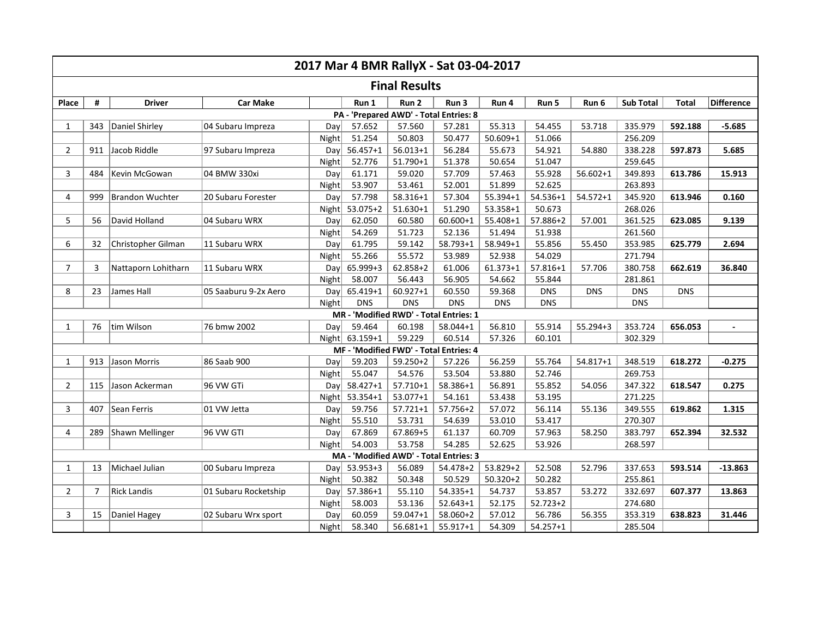| 2017 Mar 4 BMR RallyX - Sat 03-04-2017 |                                        |                        |                      |       |                |              |              |              |              |              |                  |              |                |
|----------------------------------------|----------------------------------------|------------------------|----------------------|-------|----------------|--------------|--------------|--------------|--------------|--------------|------------------|--------------|----------------|
| <b>Final Results</b>                   |                                        |                        |                      |       |                |              |              |              |              |              |                  |              |                |
| Place                                  | #                                      | <b>Driver</b>          | <b>Car Make</b>      |       | Run 1          | Run 2        | Run 3        | Run 4        | Run 5        | Run 6        | <b>Sub Total</b> | <b>Total</b> | Difference     |
|                                        | PA - 'Prepared AWD' - Total Entries: 8 |                        |                      |       |                |              |              |              |              |              |                  |              |                |
| 1                                      | 343                                    | Daniel Shirley         | 04 Subaru Impreza    | Dav   | 57.652         | 57.560       | 57.281       | 55.313       | 54.455       | 53.718       | 335.979          | 592.188      | $-5.685$       |
|                                        |                                        |                        |                      | Night | 51.254         | 50.803       | 50.477       | 50.609+1     | 51.066       |              | 256.209          |              |                |
| $\overline{2}$                         | 911                                    | Jacob Riddle           | 97 Subaru Impreza    | Dav   | $56.457 + 1$   | $56.013 + 1$ | 56.284       | 55.673       | 54.921       | 54.880       | 338.228          | 597.873      | 5.685          |
|                                        |                                        |                        |                      | Night | 52.776         | 51.790+1     | 51.378       | 50.654       | 51.047       |              | 259.645          |              |                |
| 3                                      | 484                                    | Kevin McGowan          | 04 BMW 330xi         | Day   | 61.171         | 59.020       | 57.709       | 57.463       | 55.928       | $56.602 + 1$ | 349.893          | 613.786      | 15.913         |
|                                        |                                        |                        |                      | Night | 53.907         | 53.461       | 52.001       | 51.899       | 52.625       |              | 263.893          |              |                |
| 4                                      | 999                                    | <b>Brandon Wuchter</b> | 20 Subaru Forester   | Day   | 57.798         | 58.316+1     | 57.304       | 55.394+1     | 54.536+1     | $54.572 + 1$ | 345.920          | 613.946      | 0.160          |
|                                        |                                        |                        |                      | Night | $53.075 + 2$   | $51.630 + 1$ | 51.290       | 53.358+1     | 50.673       |              | 268.026          |              |                |
| 5                                      | 56                                     | David Holland          | 04 Subaru WRX        | Day   | 62.050         | 60.580       | $60.600 + 1$ | 55.408+1     | 57.886+2     | 57.001       | 361.525          | 623.085      | 9.139          |
|                                        |                                        |                        |                      | Night | 54.269         | 51.723       | 52.136       | 51.494       | 51.938       |              | 261.560          |              |                |
| 6                                      | 32                                     | Christopher Gilman     | 11 Subaru WRX        | Day   | 61.795         | 59.142       | $58.793 + 1$ | 58.949+1     | 55.856       | 55.450       | 353.985          | 625.779      | 2.694          |
|                                        |                                        |                        |                      | Night | 55.266         | 55.572       | 53.989       | 52.938       | 54.029       |              | 271.794          |              |                |
| $\overline{7}$                         | 3                                      | Nattaporn Lohitharn    | 11 Subaru WRX        | Day   | 65.999+3       | 62.858+2     | 61.006       | $61.373 + 1$ | $57.816 + 1$ | 57.706       | 380.758          | 662.619      | 36.840         |
|                                        |                                        |                        |                      | Night | 58.007         | 56.443       | 56.905       | 54.662       | 55.844       |              | 281.861          |              |                |
| 8                                      | 23                                     | James Hall             | 05 Saaburu 9-2x Aero | Day   | 65.419+1       | $60.927 + 1$ | 60.550       | 59.368       | <b>DNS</b>   | <b>DNS</b>   | <b>DNS</b>       | <b>DNS</b>   |                |
|                                        |                                        |                        |                      | Night | <b>DNS</b>     | <b>DNS</b>   | <b>DNS</b>   | <b>DNS</b>   | <b>DNS</b>   |              | <b>DNS</b>       |              |                |
|                                        | MR - 'Modified RWD' - Total Entries: 1 |                        |                      |       |                |              |              |              |              |              |                  |              |                |
| 1                                      | 76                                     | tim Wilson             | 76 bmw 2002          | Day   | 59.464         | 60.198       | 58.044+1     | 56.810       | 55.914       | $55.294 + 3$ | 353.724          | 656.053      | $\overline{a}$ |
|                                        |                                        |                        |                      |       | Night 63.159+1 | 59.229       | 60.514       | 57.326       | 60.101       |              | 302.329          |              |                |
| MF - 'Modified FWD' - Total Entries: 4 |                                        |                        |                      |       |                |              |              |              |              |              |                  |              |                |
| 1                                      | 913                                    | Jason Morris           | 86 Saab 900          | Day   | 59.203         | $59.250 + 2$ | 57.226       | 56.259       | 55.764       | $54.817 + 1$ | 348.519          | 618.272      | $-0.275$       |
|                                        |                                        |                        |                      | Night | 55.047         | 54.576       | 53.504       | 53.880       | 52.746       |              | 269.753          |              |                |
| $\overline{2}$                         | 115                                    | Jason Ackerman         | 96 VW GTi            | Dayl  | 58.427+1       | $57.710 + 1$ | 58.386+1     | 56.891       | 55.852       | 54.056       | 347.322          | 618.547      | 0.275          |
|                                        |                                        |                        |                      | Night | 53.354+1       | $53.077 + 1$ | 54.161       | 53.438       | 53.195       |              | 271.225          |              |                |
| 3                                      | 407                                    | Sean Ferris            | 01 VW Jetta          | Dav   | 59.756         | $57.721 + 1$ | 57.756+2     | 57.072       | 56.114       | 55.136       | 349.555          | 619.862      | 1.315          |
|                                        |                                        |                        |                      | Night | 55.510         | 53.731       | 54.639       | 53.010       | 53.417       |              | 270.307          |              |                |
| 4                                      | 289                                    | Shawn Mellinger        | 96 VW GTI            | Day   | 67.869         | 67.869+5     | 61.137       | 60.709       | 57.963       | 58.250       | 383.797          | 652.394      | 32.532         |
|                                        |                                        |                        |                      | Night | 54.003         | 53.758       | 54.285       | 52.625       | 53.926       |              | 268.597          |              |                |
| MA - 'Modified AWD' - Total Entries: 3 |                                        |                        |                      |       |                |              |              |              |              |              |                  |              |                |
| 1                                      | 13                                     | Michael Julian         | 00 Subaru Impreza    |       | Day 53.953+3   | 56.089       | $54.478 + 2$ | 53.829+2     | 52.508       | 52.796       | 337.653          | 593.514      | $-13.863$      |
|                                        |                                        |                        |                      | Night | 50.382         | 50.348       | 50.529       | $50.320 + 2$ | 50.282       |              | 255.861          |              |                |
| $\overline{2}$                         | 7                                      | <b>Rick Landis</b>     | 01 Subaru Rocketship | Day   | 57.386+1       | 55.110       | 54.335+1     | 54.737       | 53.857       | 53.272       | 332.697          | 607.377      | 13.863         |
|                                        |                                        |                        |                      | Night | 58.003         | 53.136       | $52.643 + 1$ | 52.175       | $52.723 + 2$ |              | 274.680          |              |                |
| 3                                      | 15                                     | Daniel Hagey           | 02 Subaru Wrx sport  | Day   | 60.059         | 59.047+1     | 58.060+2     | 57.012       | 56.786       | 56.355       | 353.319          | 638.823      | 31.446         |
|                                        |                                        |                        |                      | Night | 58.340         | $56.681 + 1$ | $55.917 + 1$ | 54.309       | $54.257 + 1$ |              | 285.504          |              |                |